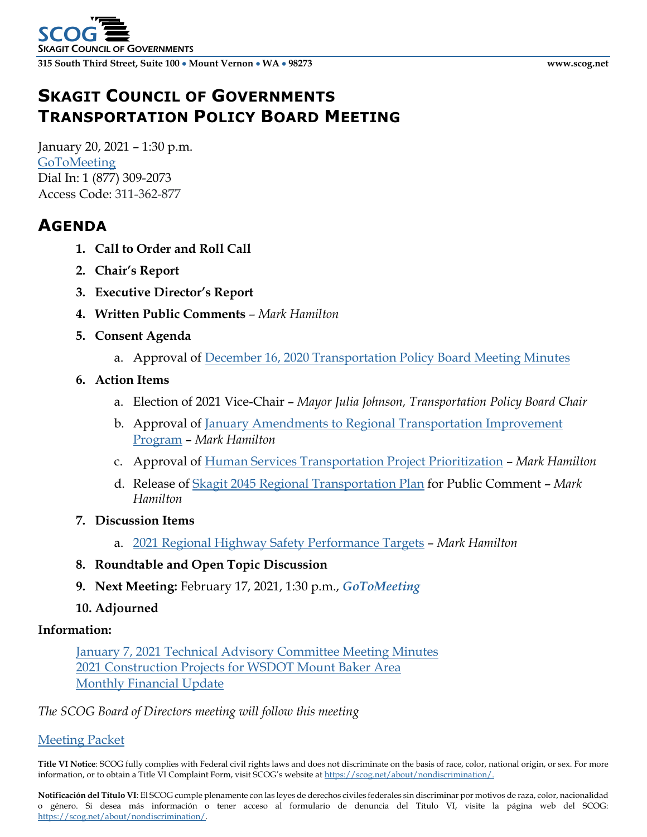# **SKAGIT COUNCIL OF GOVERNMENTS TRANSPORTATION POLICY BOARD MEETING**

January 20, 2021 – 1:30 p.m. **[GoToMeeting](https://global.gotomeeting.com/join/311362877)** Dial In: [1 \(877\) 309-2073](tel:+18773092073,,311362877) Access Code: 311-362-877

## **AGENDA**

- **1. Call to Order and Roll Call**
- **2. Chair's Report**
- **3. Executive Director's Report**
- **4. Written Public Comments** *Mark Hamilton*
- **5. Consent Agenda**
	- a. Approval of December 16, 2020 [Transportation Policy Board](http://www.scog.net/Meeting_Materials/TPB/2021/2021-01-20/TPB_Minutes-2020-12-16.pdf) Meeting Minutes
- **6. Action Items**
	- a. Election of 2021 Vice-Chair *Mayor Julia Johnson, Transportation Policy Board Chair*
	- b. Approval of [January Amendments to Regional Transportation Improvement](http://www.scog.net/Meeting_Materials/TPB/2021/2021-01-20/RTIP-Amendment-2021-01.pdf)  [Program](http://www.scog.net/Meeting_Materials/TPB/2021/2021-01-20/RTIP-Amendment-2021-01.pdf) – *Mark Hamilton*
	- c. Approval of [Human Services Transportation Project Prioritization](http://www.scog.net/Meeting_Materials/TPB/2021/2021-01-20/ProjectPrioritization.pdf) *Mark Hamilton*
	- d. Release of [Skagit 2045 Regional Transportation Plan](http://www.scog.net/Meeting_Materials/TPB/2021/2021-01-20/Skagit2045.pdf) for Public Comment *Mark Hamilton*
- **7. Discussion Items**
	- a. [2021 Regional Highway Safety Performance Targets](http://www.scog.net/Meeting_Materials/TPB/2021/2021-01-20/SafetyTargets.pdf) *Mark Hamilton*
- **8. Roundtable and Open Topic Discussion**
- **9. Next Meeting:** February 17, 2021, 1:30 p.m., *GoToMeeting*
- **10. Adjourned**

#### **Information:**

January 7, 2021 [Technical Advisory Committee Meeting Minutes](http://www.scog.net/Meeting_Materials/TPB/2021/2021-01-20/TAC_Minutes-2021-01-07.pdf) [2021 Construction Projects for WSDOT Mount Baker Area](http://www.scog.net/Meeting_Materials/TPB/2021/2021-01-20/2021-Mt%20Baker%20projects-010621.pdf) [Monthly Financial Update](http://www.scog.net/Meeting_Materials/TPB/2021/2021-01-20/MonthlyFinancialUpdate.pdf)

*The SCOG Board of Directors meeting will follow this meeting*

[Meeting Packet](http://www.scog.net/Meeting_Materials/TPB/2021/2021-01-20/TPB_Packet-2021-01-20.pdf)

**Title VI Notice**: SCOG fully complies with Federal civil rights laws and does not discriminate on the basis of race, color, national origin, or sex. For more information, or to obtain a Title VI Complaint Form, visit SCOG's website a[t https://scog.net/about/nondiscrimination/.](https://scog.net/about/nondiscrimination/)

**Notificación del Título VI**: El SCOG cumple plenamente con las leyes de derechos civiles federales sin discriminar por motivos de raza, color, nacionalidad o género. Si desea más información o tener acceso al formulario de denuncia del Título VI, visite la página web del SCOG: [https://scog.net/about/nondiscrimination/.](https://scog.net/about/nondiscrimination/)